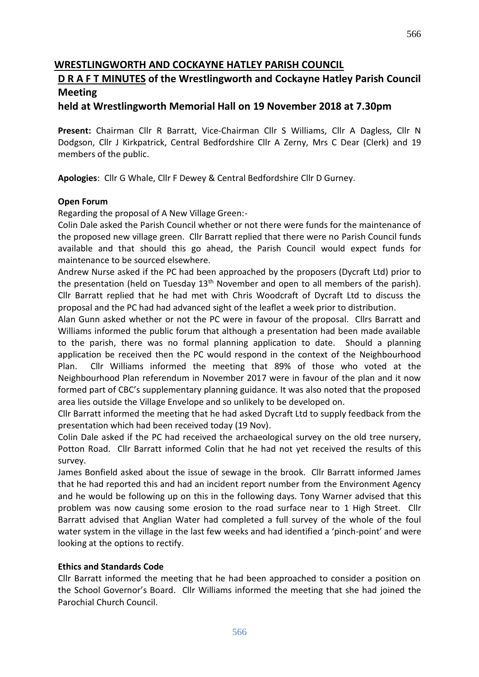## **WRESTLINGWORTH AND COCKAYNE HATLEY PARISH COUNCIL**

## **D R A F T MINUTES of the Wrestlingworth and Cockayne Hatley Parish Council Meeting**

## **held at Wrestlingworth Memorial Hall on 19 November 2018 at 7.30pm**

**Present:** Chairman Cllr R Barratt, Vice-Chairman Cllr S Williams, Cllr A Dagless, Cllr N Dodgson, Cllr J Kirkpatrick, Central Bedfordshire Cllr A Zerny, Mrs C Dear (Clerk) and 19 members of the public.

**Apologies**: Cllr G Whale, Cllr F Dewey & Central Bedfordshire Cllr D Gurney.

#### **Open Forum**

Regarding the proposal of A New Village Green:-

Colin Dale asked the Parish Council whether or not there were funds for the maintenance of the proposed new village green. Cllr Barratt replied that there were no Parish Council funds available and that should this go ahead, the Parish Council would expect funds for maintenance to be sourced elsewhere.

Andrew Nurse asked if the PC had been approached by the proposers (Dycraft Ltd) prior to the presentation (held on Tuesday  $13<sup>th</sup>$  November and open to all members of the parish). Cllr Barratt replied that he had met with Chris Woodcraft of Dycraft Ltd to discuss the proposal and the PC had had advanced sight of the leaflet a week prior to distribution.

Alan Gunn asked whether or not the PC were in favour of the proposal. Cllrs Barratt and Williams informed the public forum that although a presentation had been made available to the parish, there was no formal planning application to date. Should a planning application be received then the PC would respond in the context of the Neighbourhood Plan. Cllr Williams informed the meeting that 89% of those who voted at the Neighbourhood Plan referendum in November 2017 were in favour of the plan and it now formed part of CBC's supplementary planning guidance. It was also noted that the proposed area lies outside the Village Envelope and so unlikely to be developed on.

Cllr Barratt informed the meeting that he had asked Dycraft Ltd to supply feedback from the presentation which had been received today (19 Nov).

Colin Dale asked if the PC had received the archaeological survey on the old tree nursery, Potton Road. Cllr Barratt informed Colin that he had not yet received the results of this survey.

James Bonfield asked about the issue of sewage in the brook. Cllr Barratt informed James that he had reported this and had an incident report number from the Environment Agency and he would be following up on this in the following days. Tony Warner advised that this problem was now causing some erosion to the road surface near to 1 High Street. Cllr Barratt advised that Anglian Water had completed a full survey of the whole of the foul water system in the village in the last few weeks and had identified a 'pinch-point' and were looking at the options to rectify.

#### **Ethics and Standards Code**

Cllr Barratt informed the meeting that he had been approached to consider a position on the School Governor's Board. Cllr Williams informed the meeting that she had joined the Parochial Church Council.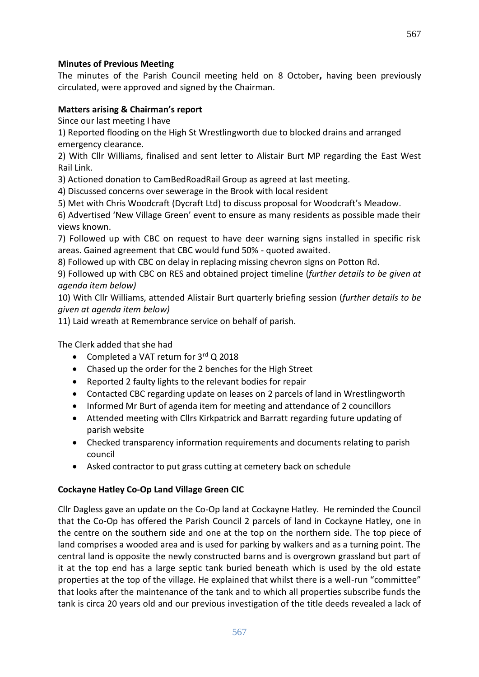#### **Minutes of Previous Meeting**

The minutes of the Parish Council meeting held on 8 October**,** having been previously circulated, were approved and signed by the Chairman.

#### **Matters arising & Chairman's report**

Since our last meeting I have

1) Reported flooding on the High St Wrestlingworth due to blocked drains and arranged emergency clearance.

2) With Cllr Williams, finalised and sent letter to Alistair Burt MP regarding the East West Rail Link.

3) Actioned donation to CamBedRoadRail Group as agreed at last meeting.

4) Discussed concerns over sewerage in the Brook with local resident

5) Met with Chris Woodcraft (Dycraft Ltd) to discuss proposal for Woodcraft's Meadow.

6) Advertised 'New Village Green' event to ensure as many residents as possible made their views known.

7) Followed up with CBC on request to have deer warning signs installed in specific risk areas. Gained agreement that CBC would fund 50% - quoted awaited.

8) Followed up with CBC on delay in replacing missing chevron signs on Potton Rd.

9) Followed up with CBC on RES and obtained project timeline (*further details to be given at agenda item below)*

10) With Cllr Williams, attended Alistair Burt quarterly briefing session (*further details to be given at agenda item below)*

11) Laid wreath at Remembrance service on behalf of parish.

The Clerk added that she had

- Completed a VAT return for  $3^{rd}$  Q 2018
- Chased up the order for the 2 benches for the High Street
- Reported 2 faulty lights to the relevant bodies for repair
- Contacted CBC regarding update on leases on 2 parcels of land in Wrestlingworth
- Informed Mr Burt of agenda item for meeting and attendance of 2 councillors
- Attended meeting with Cllrs Kirkpatrick and Barratt regarding future updating of parish website
- Checked transparency information requirements and documents relating to parish council
- Asked contractor to put grass cutting at cemetery back on schedule

## **Cockayne Hatley Co-Op Land Village Green CIC**

Cllr Dagless gave an update on the Co-Op land at Cockayne Hatley. He reminded the Council that the Co-Op has offered the Parish Council 2 parcels of land in Cockayne Hatley, one in the centre on the southern side and one at the top on the northern side. The top piece of land comprises a wooded area and is used for parking by walkers and as a turning point. The central land is opposite the newly constructed barns and is overgrown grassland but part of it at the top end has a large septic tank buried beneath which is used by the old estate properties at the top of the village. He explained that whilst there is a well-run "committee" that looks after the maintenance of the tank and to which all properties subscribe funds the tank is circa 20 years old and our previous investigation of the title deeds revealed a lack of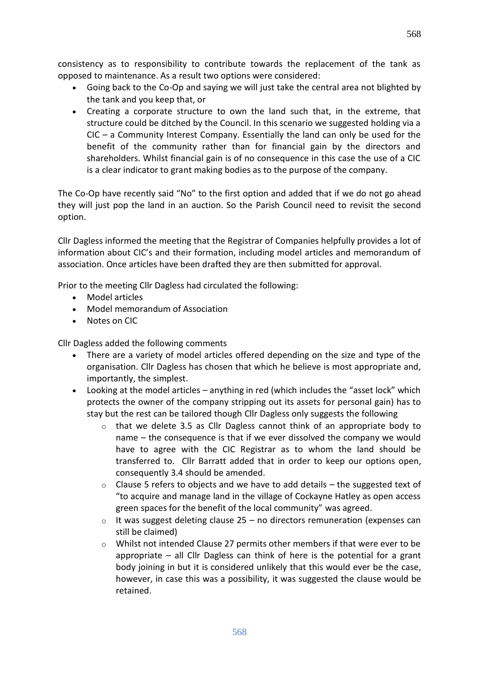consistency as to responsibility to contribute towards the replacement of the tank as opposed to maintenance. As a result two options were considered:

- Going back to the Co-Op and saying we will just take the central area not blighted by the tank and you keep that, or
- Creating a corporate structure to own the land such that, in the extreme, that structure could be ditched by the Council. In this scenario we suggested holding via a  $CIC - a$  Community Interest Company. Essentially the land can only be used for the benefit of the community rather than for financial gain by the directors and shareholders. Whilst financial gain is of no consequence in this case the use of a CIC is a clear indicator to grant making bodies as to the purpose of the company.

The Co-Op have recently said "No" to the first option and added that if we do not go ahead they will just pop the land in an auction. So the Parish Council need to revisit the second option.

Cllr Dagless informed the meeting that the Registrar of Companies helpfully provides a lot of information about CIC's and their formation, including model articles and memorandum of association. Once articles have been drafted they are then submitted for approval.

Prior to the meeting Cllr Dagless had circulated the following:

- Model articles
- Model memorandum of Association
- Notes on CIC

Cllr Dagless added the following comments

- There are a variety of model articles offered depending on the size and type of the organisation. Cllr Dagless has chosen that which he believe is most appropriate and, importantly, the simplest.
- Looking at the model articles anything in red (which includes the "asset lock" which protects the owner of the company stripping out its assets for personal gain) has to stay but the rest can be tailored though Cllr Dagless only suggests the following
	- $\circ$  that we delete 3.5 as Cllr Dagless cannot think of an appropriate body to name – the consequence is that if we ever dissolved the company we would have to agree with the CIC Registrar as to whom the land should be transferred to. Cllr Barratt added that in order to keep our options open, consequently 3.4 should be amended.
	- $\circ$  Clause 5 refers to objects and we have to add details the suggested text of "to acquire and manage land in the village of Cockayne Hatley as open access green spaces for the benefit of the local community" was agreed.
	- $\circ$  It was suggest deleting clause 25 no directors remuneration (expenses can still be claimed)
	- $\circ$  Whilst not intended Clause 27 permits other members if that were ever to be appropriate – all Cllr Dagless can think of here is the potential for a grant body joining in but it is considered unlikely that this would ever be the case, however, in case this was a possibility, it was suggested the clause would be retained.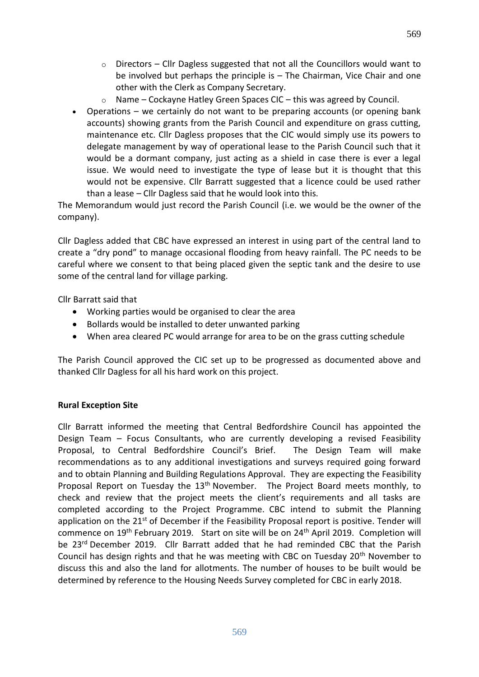- $\circ$  Directors Cllr Dagless suggested that not all the Councillors would want to be involved but perhaps the principle is – The Chairman, Vice Chair and one other with the Clerk as Company Secretary.
- o Name Cockayne Hatley Green Spaces CIC this was agreed by Council.
- Operations we certainly do not want to be preparing accounts (or opening bank accounts) showing grants from the Parish Council and expenditure on grass cutting, maintenance etc. Cllr Dagless proposes that the CIC would simply use its powers to delegate management by way of operational lease to the Parish Council such that it would be a dormant company, just acting as a shield in case there is ever a legal issue. We would need to investigate the type of lease but it is thought that this would not be expensive. Cllr Barratt suggested that a licence could be used rather than a lease – Cllr Dagless said that he would look into this.

The Memorandum would just record the Parish Council (i.e. we would be the owner of the company).

Cllr Dagless added that CBC have expressed an interest in using part of the central land to create a "dry pond" to manage occasional flooding from heavy rainfall. The PC needs to be careful where we consent to that being placed given the septic tank and the desire to use some of the central land for village parking.

Cllr Barratt said that

- Working parties would be organised to clear the area
- Bollards would be installed to deter unwanted parking
- When area cleared PC would arrange for area to be on the grass cutting schedule

The Parish Council approved the CIC set up to be progressed as documented above and thanked Cllr Dagless for all his hard work on this project.

## **Rural Exception Site**

Cllr Barratt informed the meeting that Central Bedfordshire Council has appointed the Design Team – Focus Consultants, who are currently developing a revised Feasibility Proposal, to Central Bedfordshire Council's Brief. The Design Team will make recommendations as to any additional investigations and surveys required going forward and to obtain Planning and Building Regulations Approval. They are expecting the Feasibility Proposal Report on Tuesday the 13<sup>th</sup> November. The Project Board meets monthly, to check and review that the project meets the client's requirements and all tasks are completed according to the Project Programme. CBC intend to submit the Planning application on the 21<sup>st</sup> of December if the Feasibility Proposal report is positive. Tender will commence on 19th February 2019. Start on site will be on 24th April 2019. Completion will be 23<sup>rd</sup> December 2019. Cllr Barratt added that he had reminded CBC that the Parish Council has design rights and that he was meeting with CBC on Tuesday  $20<sup>th</sup>$  November to discuss this and also the land for allotments. The number of houses to be built would be determined by reference to the Housing Needs Survey completed for CBC in early 2018.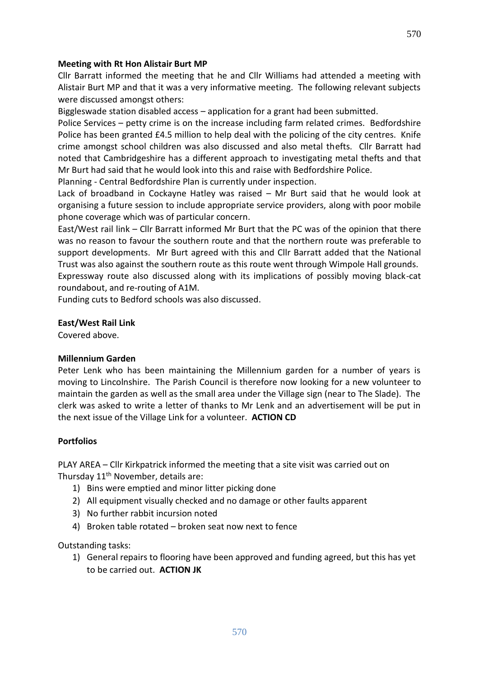#### **Meeting with Rt Hon Alistair Burt MP**

Cllr Barratt informed the meeting that he and Cllr Williams had attended a meeting with Alistair Burt MP and that it was a very informative meeting. The following relevant subjects were discussed amongst others:

Biggleswade station disabled access – application for a grant had been submitted.

Police Services – petty crime is on the increase including farm related crimes. Bedfordshire Police has been granted £4.5 million to help deal with the policing of the city centres. Knife crime amongst school children was also discussed and also metal thefts. Cllr Barratt had noted that Cambridgeshire has a different approach to investigating metal thefts and that Mr Burt had said that he would look into this and raise with Bedfordshire Police.

Planning - Central Bedfordshire Plan is currently under inspection.

Lack of broadband in Cockayne Hatley was raised – Mr Burt said that he would look at organising a future session to include appropriate service providers, along with poor mobile phone coverage which was of particular concern.

East/West rail link – Cllr Barratt informed Mr Burt that the PC was of the opinion that there was no reason to favour the southern route and that the northern route was preferable to support developments. Mr Burt agreed with this and Cllr Barratt added that the National Trust was also against the southern route as this route went through Wimpole Hall grounds.

Expressway route also discussed along with its implications of possibly moving black-cat roundabout, and re-routing of A1M.

Funding cuts to Bedford schools was also discussed.

#### **East/West Rail Link**

Covered above.

#### **Millennium Garden**

Peter Lenk who has been maintaining the Millennium garden for a number of years is moving to Lincolnshire. The Parish Council is therefore now looking for a new volunteer to maintain the garden as well as the small area under the Village sign (near to The Slade). The clerk was asked to write a letter of thanks to Mr Lenk and an advertisement will be put in the next issue of the Village Link for a volunteer. **ACTION CD**

#### **Portfolios**

PLAY AREA – Cllr Kirkpatrick informed the meeting that a site visit was carried out on Thursday 11<sup>th</sup> November, details are:

- 1) Bins were emptied and minor litter picking done
- 2) All equipment visually checked and no damage or other faults apparent
- 3) No further rabbit incursion noted
- 4) Broken table rotated broken seat now next to fence

Outstanding tasks:

1) General repairs to flooring have been approved and funding agreed, but this has yet to be carried out. **ACTION JK**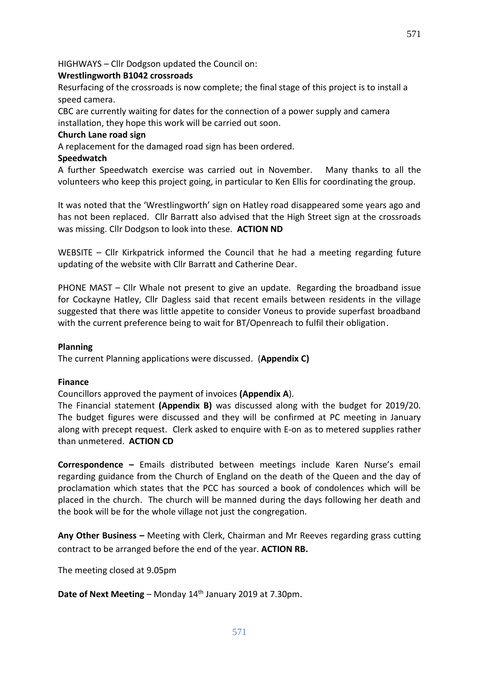HIGHWAYS – Cllr Dodgson updated the Council on:

## **Wrestlingworth B1042 crossroads**

Resurfacing of the crossroads is now complete; the final stage of this project is to install a speed camera.

571

CBC are currently waiting for dates for the connection of a power supply and camera installation, they hope this work will be carried out soon.

#### **Church Lane road sign**

A replacement for the damaged road sign has been ordered.

#### **Speedwatch**

A further Speedwatch exercise was carried out in November. Many thanks to all the volunteers who keep this project going, in particular to Ken Ellis for coordinating the group.

It was noted that the 'Wrestlingworth' sign on Hatley road disappeared some years ago and has not been replaced. Cllr Barratt also advised that the High Street sign at the crossroads was missing. Cllr Dodgson to look into these. **ACTION ND**

WEBSITE – Cllr Kirkpatrick informed the Council that he had a meeting regarding future updating of the website with Cllr Barratt and Catherine Dear.

PHONE MAST – Cllr Whale not present to give an update. Regarding the broadband issue for Cockayne Hatley, Cllr Dagless said that recent emails between residents in the village suggested that there was little appetite to consider Voneus to provide superfast broadband with the current preference being to wait for BT/Openreach to fulfil their obligation.

#### **Planning**

The current Planning applications were discussed. (**Appendix C)**

#### **Finance**

Councillors approved the payment of invoices **(Appendix A**).

The Financial statement **(Appendix B)** was discussed along with the budget for 2019/20. The budget figures were discussed and they will be confirmed at PC meeting in January along with precept request. Clerk asked to enquire with E-on as to metered supplies rather than unmetered. **ACTION CD**

**Correspondence –** Emails distributed between meetings include Karen Nurse's email regarding guidance from the Church of England on the death of the Queen and the day of proclamation which states that the PCC has sourced a book of condolences which will be placed in the church. The church will be manned during the days following her death and the book will be for the whole village not just the congregation.

**Any Other Business –** Meeting with Clerk, Chairman and Mr Reeves regarding grass cutting contract to be arranged before the end of the year. **ACTION RB.** 

The meeting closed at 9.05pm

**Date of Next Meeting** – Monday 14<sup>th</sup> January 2019 at 7.30pm.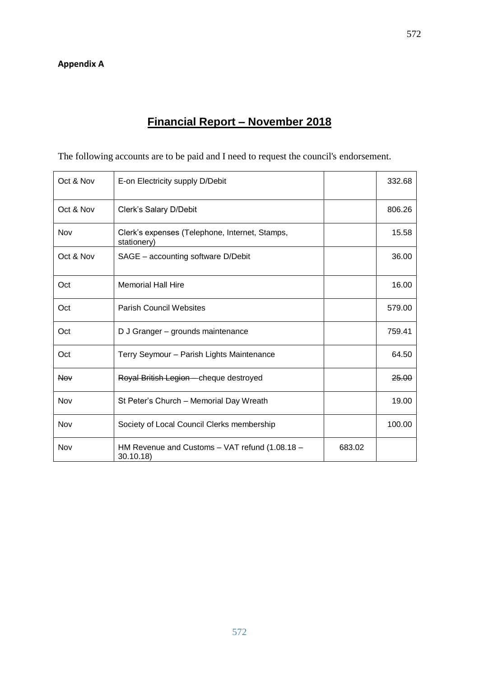# **Financial Report – November 2018**

The following accounts are to be paid and I need to request the council's endorsement.

| Oct & Nov  | E-on Electricity supply D/Debit                               |        | 332.68 |
|------------|---------------------------------------------------------------|--------|--------|
| Oct & Nov  | Clerk's Salary D/Debit                                        |        | 806.26 |
| Nov        | Clerk's expenses (Telephone, Internet, Stamps,<br>stationery) |        | 15.58  |
| Oct & Nov  | SAGE - accounting software D/Debit                            |        | 36.00  |
| Oct        | <b>Memorial Hall Hire</b>                                     |        | 16.00  |
| Oct        | <b>Parish Council Websites</b>                                |        | 579.00 |
| Oct        | D J Granger - grounds maintenance                             |        | 759.41 |
| Oct        | Terry Seymour - Parish Lights Maintenance                     |        | 64.50  |
| <b>Nov</b> | Royal British Legion - cheque destroyed                       |        | 25.00  |
| Nov        | St Peter's Church - Memorial Day Wreath                       |        | 19.00  |
| Nov        | Society of Local Council Clerks membership                    |        | 100.00 |
| Nov        | HM Revenue and Customs - VAT refund (1.08.18 -<br>30.10.18)   | 683.02 |        |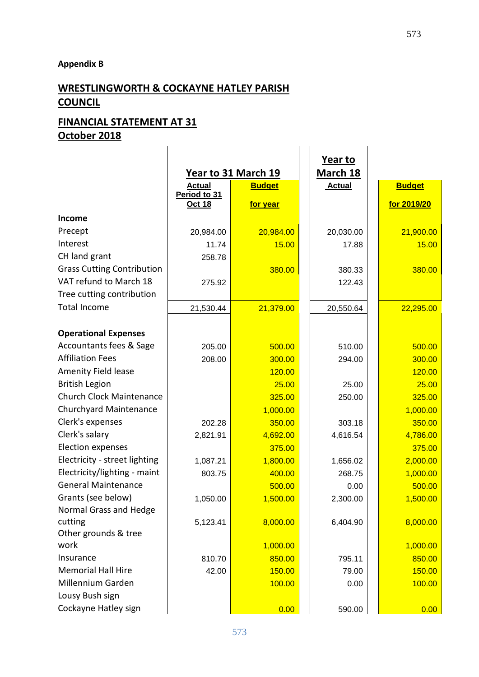## **Appendix B**

# **WRESTLINGWORTH & COCKAYNE HATLEY PARISH COUNCIL**

# **FINANCIAL STATEMENT AT 31 October 2018**

|                                   |                        | Year to 31 March 19 |  |
|-----------------------------------|------------------------|---------------------|--|
|                                   | <b>Actual</b>          | <b>Budget</b>       |  |
|                                   | Period to 31<br>Oct 18 | for year            |  |
| <b>Income</b>                     |                        |                     |  |
|                                   |                        |                     |  |
| Precept                           | 20,984.00              | 20,984.00           |  |
| Interest                          | 11.74                  | 15.00               |  |
| CH land grant                     | 258.78                 |                     |  |
| <b>Grass Cutting Contribution</b> |                        | 380.00              |  |
| VAT refund to March 18            | 275.92                 |                     |  |
| Tree cutting contribution         |                        |                     |  |
| <b>Total Income</b>               | 21,530.44              | 21,379.00           |  |
|                                   |                        |                     |  |
| <b>Operational Expenses</b>       |                        |                     |  |
| Accountants fees & Sage           | 205.00                 | 500.00              |  |
| <b>Affiliation Fees</b>           | 208.00                 | 300.00              |  |
| <b>Amenity Field lease</b>        |                        | 120.00              |  |
| <b>British Legion</b>             |                        | 25.00               |  |
| <b>Church Clock Maintenance</b>   |                        | 325.00              |  |
| Churchyard Maintenance            |                        | 1,000.00            |  |
| Clerk's expenses                  | 202.28                 | 350.00              |  |
| Clerk's salary                    | 2,821.91               | 4,692.00            |  |
| <b>Election expenses</b>          |                        | 375.00              |  |
| Electricity - street lighting     | 1,087.21               | 1,800.00            |  |
| Electricity/lighting - maint      | 803.75                 | 400.00              |  |
| <b>General Maintenance</b>        |                        | 500.00              |  |
| Grants (see below)                | 1,050.00               | 1,500.00            |  |
| Normal Grass and Hedge            |                        |                     |  |
| cutting                           | 5,123.41               | 8,000.00            |  |
| Other grounds & tree              |                        |                     |  |
| work                              |                        | 1,000.00            |  |
| Insurance                         | 810.70                 | 850.00              |  |
| <b>Memorial Hall Hire</b>         | 42.00                  | 150.00              |  |
| Millennium Garden                 |                        | 100.00              |  |
| Lousy Bush sign                   |                        |                     |  |
| Cockayne Hatley sign              |                        | 0.00                |  |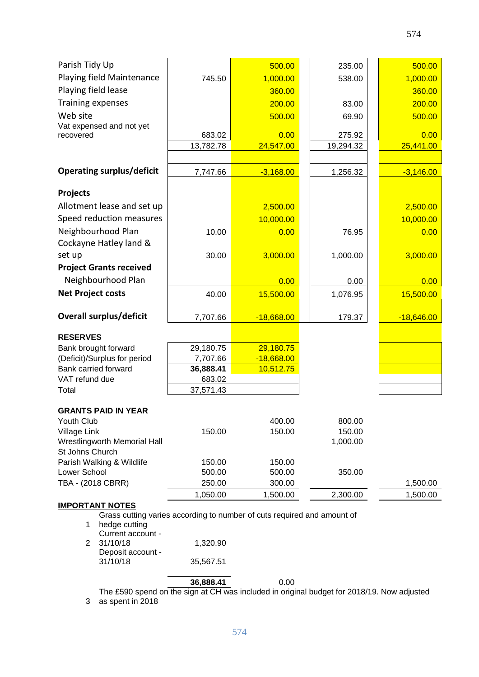| Parish Tidy Up                                                          |                  | 500.00           |  | 235.00    | 500.00       |
|-------------------------------------------------------------------------|------------------|------------------|--|-----------|--------------|
| Playing field Maintenance                                               | 745.50           | 1,000.00         |  | 538.00    | 1,000.00     |
| Playing field lease                                                     |                  | 360.00           |  |           | 360.00       |
| <b>Training expenses</b>                                                |                  | 200.00           |  | 83.00     | 200.00       |
| Web site                                                                |                  | 500.00           |  | 69.90     | 500.00       |
| Vat expensed and not yet                                                |                  |                  |  |           |              |
| recovered                                                               | 683.02           | 0.00             |  | 275.92    | 0.00         |
|                                                                         | 13,782.78        | 24,547.00        |  | 19,294.32 | 25,441.00    |
|                                                                         |                  |                  |  |           |              |
| <b>Operating surplus/deficit</b>                                        | 7,747.66         | $-3,168.00$      |  | 1,256.32  | $-3,146.00$  |
| <b>Projects</b>                                                         |                  |                  |  |           |              |
| Allotment lease and set up                                              |                  | 2,500.00         |  |           | 2,500.00     |
| Speed reduction measures                                                |                  | 10,000.00        |  |           | 10,000.00    |
| Neighbourhood Plan                                                      | 10.00            | 0.00             |  | 76.95     | 0.00         |
| Cockayne Hatley land &                                                  |                  |                  |  |           |              |
| set up                                                                  | 30.00            | 3,000.00         |  | 1,000.00  | 3,000.00     |
| <b>Project Grants received</b>                                          |                  |                  |  |           |              |
| Neighbourhood Plan                                                      |                  | 0.00             |  | 0.00      | 0.00         |
| <b>Net Project costs</b>                                                | 40.00            | 15,500.00        |  | 1,076.95  | 15,500.00    |
|                                                                         |                  |                  |  |           |              |
| <b>Overall surplus/deficit</b>                                          | 7,707.66         | $-18,668.00$     |  | 179.37    | $-18,646.00$ |
| <b>RESERVES</b>                                                         |                  |                  |  |           |              |
| Bank brought forward                                                    | 29,180.75        | 29,180.75        |  |           |              |
| (Deficit)/Surplus for period                                            | 7,707.66         | $-18,668.00$     |  |           |              |
| Bank carried forward                                                    | 36,888.41        | 10,512.75        |  |           |              |
| VAT refund due                                                          | 683.02           |                  |  |           |              |
| Total                                                                   | 37,571.43        |                  |  |           |              |
| <b>GRANTS PAID IN YEAR</b>                                              |                  |                  |  |           |              |
| Youth Club                                                              |                  | 400.00           |  | 800.00    |              |
| Village Link                                                            | 150.00           | 150.00           |  | 150.00    |              |
| Wrestlingworth Memorial Hall                                            |                  |                  |  | 1,000.00  |              |
| St Johns Church                                                         |                  |                  |  |           |              |
| Parish Walking & Wildlife<br>Lower School                               | 150.00<br>500.00 | 150.00<br>500.00 |  | 350.00    |              |
| TBA - (2018 CBRR)                                                       | 250.00           | 300.00           |  |           | 1,500.00     |
|                                                                         | 1,050.00         | 1,500.00         |  | 2,300.00  | 1,500.00     |
| <b>IMPORTANT NOTES</b>                                                  |                  |                  |  |           |              |
| Grass cutting varies according to number of cuts required and amount of |                  |                  |  |           |              |
| hedge cutting<br>1<br>Current account -                                 |                  |                  |  |           |              |
| 31/10/18<br>2                                                           | 1,320.90         |                  |  |           |              |

574

| Deposit account - |           |
|-------------------|-----------|
| 31/10/18          | 35,567.51 |
|                   |           |

**36,888.41** 0.00

3 The £590 spend on the sign at CH was included in original budget for 2018/19. Now adjusted as spent in 2018

574